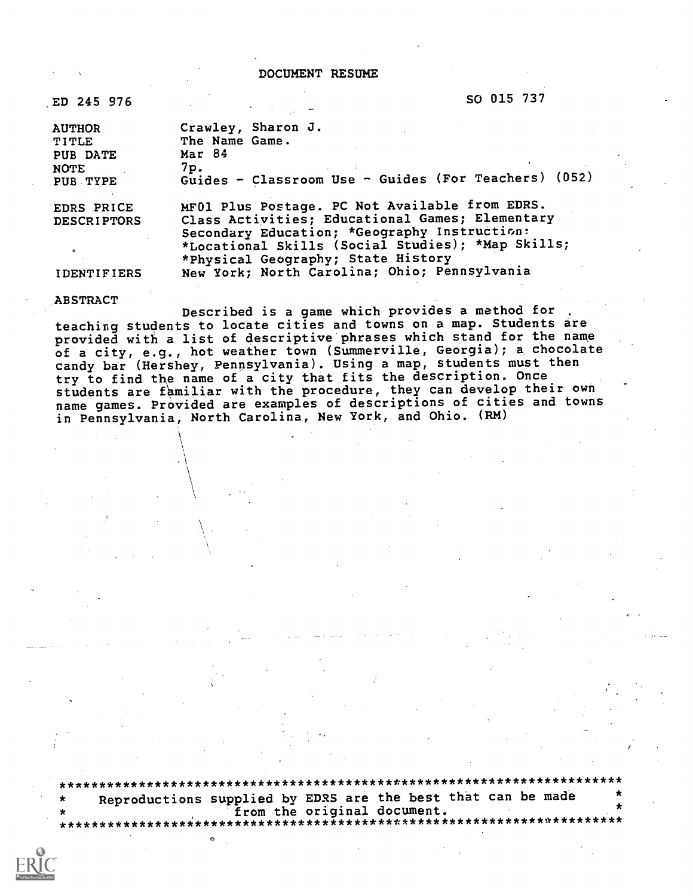DOCUMENT RESUME

| SO 015 737                                                                                                                                        |
|---------------------------------------------------------------------------------------------------------------------------------------------------|
| Crawley, Sharon J.<br>The Name Game.<br>Mar 84<br>7p.                                                                                             |
| Guides - Classroom Use - Guides (For Teachers) (052)                                                                                              |
| MF01 Plus Postage. PC Not Available from EDRS.<br>Class Activities; Educational Games; Elementary<br>Secondary Education; *Geography Instruction: |
| *Locational Skills (Social Studies); *Map Skills;<br>*Physical Geography; State History<br>New York; North Carolina; Ohio; Pennsylvania           |
|                                                                                                                                                   |

**ABSTRACT** 

Described is a game which provides a method for teaching students to locate cities and towns on a map. Students are provided with a list of descriptive phrases which stand for the name of a city, e.g., hot weather town (Summerville, Georgia); a chocolate candy bar (Hershey, Pennsylvania). Using a map, students must then try to find the name of a city that fits the description. Once students are familiar with the procedure, they can develop their own name games. Provided are examples of descriptions of cities and towns in Pennsylvania, North Carolina, New York, and Ohio. (RM)

Reproductions supplied by EDRS are the best that can be made  $\star$ from the original document. 

ò

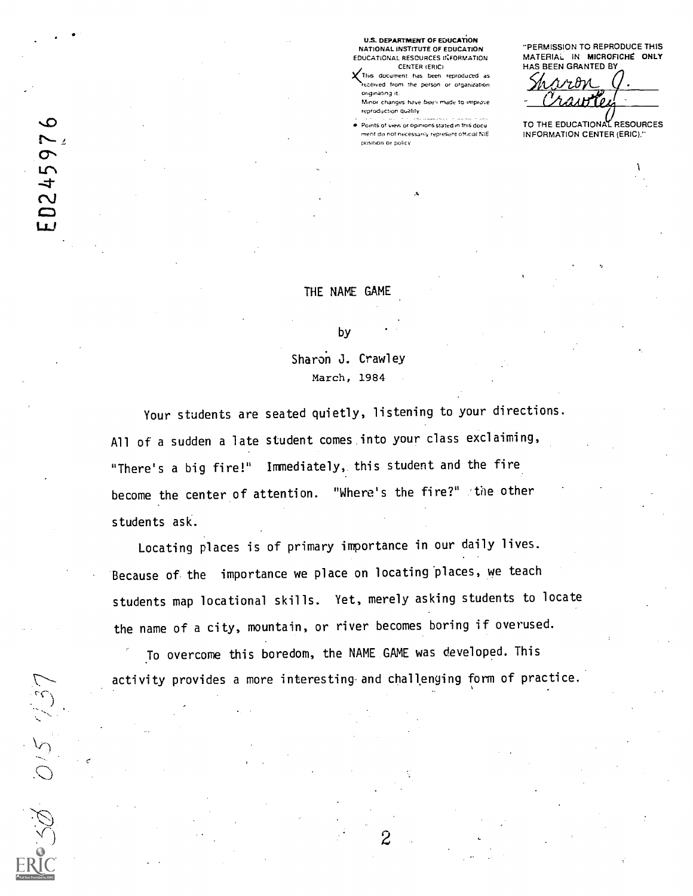U.S. DEPARTMENT OF EDUCATION NATIONAL INSTITUTE OF EDUCATION EDUCATIONAL RESOURCES IN:FORMATION CENTER fERIC1

This document has been reproduced as received horn the person or organization ohgmanngit. Minor changes have beer made to improve

reproduction oual:ty Points of view or opinions stated in this docu

ment do not necessarily represent official NIE. position or policy

PERMISSION TO REPRODUCE THIS MATERIAL IN MICROFICHE ONLY HAS BEEN GRANTED BY

TO THE EDUCATIONAL RESOURCES INFORMATION CENTER (ERIC)."

## THE NAME GAME

عہ

165420

سا

 $75.737$ 

## by

Sharon J. Crawley March, 1984

Your students are seated quietly, listening to your directions. All of a sudden a late student comes into your class exclaiming, "There's a big fire!" Immediately, this student and the fire become the center of attention. "Where's the fire?" the other students ask.

Locating places is of primary importance in our daily lives. Because of the importance we place on locating 'places, we teach students map locational skills. Yet, merely asking students to locate the name of a city, mountain, or river becomes boring if overused.

To overcome this boredom, the NAME GAME was developed. This activity provides a more interesting-and challenging form of practice.

 $\overline{2}$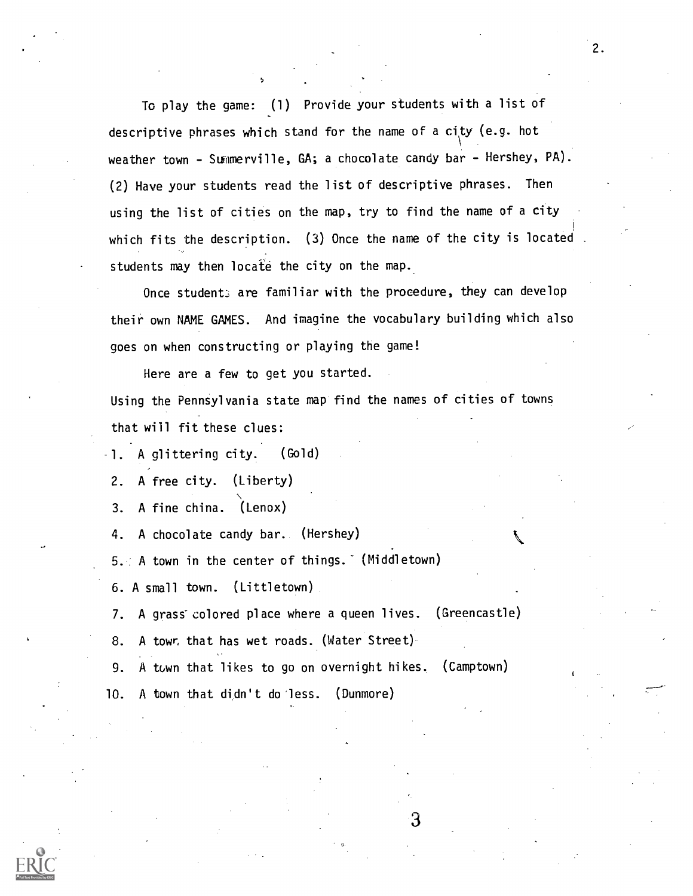To play the game: (1) Provide your students with a list of descriptive phrases which stand for the name of a city (e.g. hot weather town - Sumerville, GA; a chocolate candy bar - Hershey, PA). (2) Have your students read the list of descriptive phrases. Then using the list of cities on the map, try to find the name of a city which fits the description. (3) Once the name of the city is located students may then locate the city on the map.

Once student; are familiar with the procedure, they can develop their own NAME GAMES. And imagine the vocabulary building which also goes on when constructing or playing the game!

Here are a few to get you started. Using the Pennsylvania state map find the names of cities of towns that will fit these clues:

1. A glittering city. (Gold)

2. A free city. (Liberty)

3. A fine china. (Lenox)

4. A chocolate candy bar. (Hershey)

5.: A town in the center of things.' (Middletown)

6. A small town. (Littletown)

7. A grass colored place where a queen lives. (Greencastle)

8. A town, that has wet roads. (Water Street)

9. A town that likes to go on overnight hikes. (Camptown)

10. A town that didn't do less. (Dunmore)

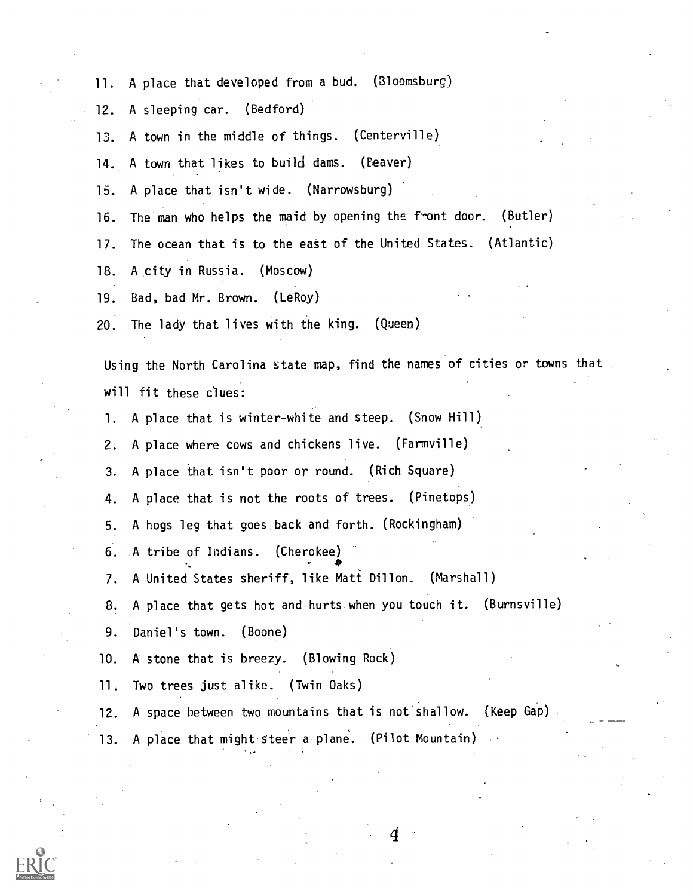11. A place that developed from a bud. (Bloomsburg)

12. A sleeping car. (Bedford)

13. A town in the middle of things. (Centerville)

14. A town that likes to build dams. (Beaver)

15. A place that isn't wide. (Narrowsburg)

16. The man who helps the maid by opening the front door. (Butler)

17. The ocean that is to the east of the United States. (Atlantic)

18. A city in Russia. (Moscow)

19. Bad, bad Mr. Brown. (LeRoy)

20. The lady that lives with the king. (Queen)

Using the North Carolina state map, find the names of cities or towns that will fit these clues:

1. A place that is winter-white and steep. (Snow Hill)

2. A place where cows and chickens live. (Farmville)

3. A place that isn't poor or round. (Rich Square)

4. A place that is not the roots of trees. (Pinetops)

5. A hogs leg that goes back and forth. (Rockingham)

6. A tribe of Indians. (Cherokee)

7. A United States sheriff, like Matt Dillon. (Marshall)

8. A place that gets hot and hurts when you touch it. (Burnsville)

-

9. Daniel's town. (Boone)

10. A stone that is breezy. (Blowing Rock)

11. Two trees just alike. (Twin Oaks)

12. A space between two mountains that is not shallow. (Keep Gap)

13. A place that might steer a plane. (Pilot Mountain)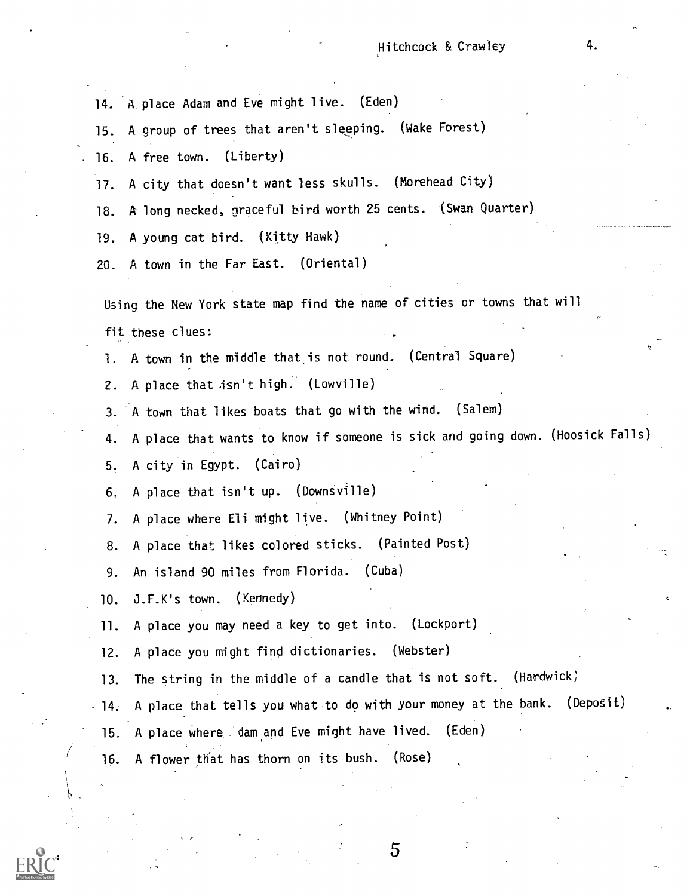14. A place Adam and Eve might live. (Eden)

15. A group of trees that aren't sleeping. (Wake Forest)

16. A free town. (Liberty)

17. A city that doesn't want less skulls. (Morehead City)

18. A long necked, graceful bird worth 25 cents. (Swan Quarter)

19. A young cat bird. (Kitty Hawk)

20. A town in the Far East. (Oriental)

Using the New York state map find the name of cities or towns that will

fit these clues:

1. A town in the middle that is not round. (Central Square)

2. A place that isn't high. (Lowville)

3. A town that likes boats that go with the wind. (Salem)

4. A place that wants to know if someone is sick and going down. (Hoosick Falls)

5. A city in Egypt. (Cairo)

6. A place that isn't up. (Downsville)

7. A place where Eli might live. (Whitney Point)

8. A place that likes colored sticks. (Painted Post)

9. An island 90 miles from Florida. (Cuba)

10. J.F.K's town. (Kennedy)

11. A place you may need a key to get into. (Lockport)

12. A place you might find dictionaries. (Webster)

13. The string in the middle of a candle that is not soft. (Hardwick)

14. A place that tells you what to do with your money at the bank. (Deposit)

15. A place where, dam and Eve might have lived. (Eden)

16. A flower that has thorn on its bush. (Rose)

 $\overline{5}$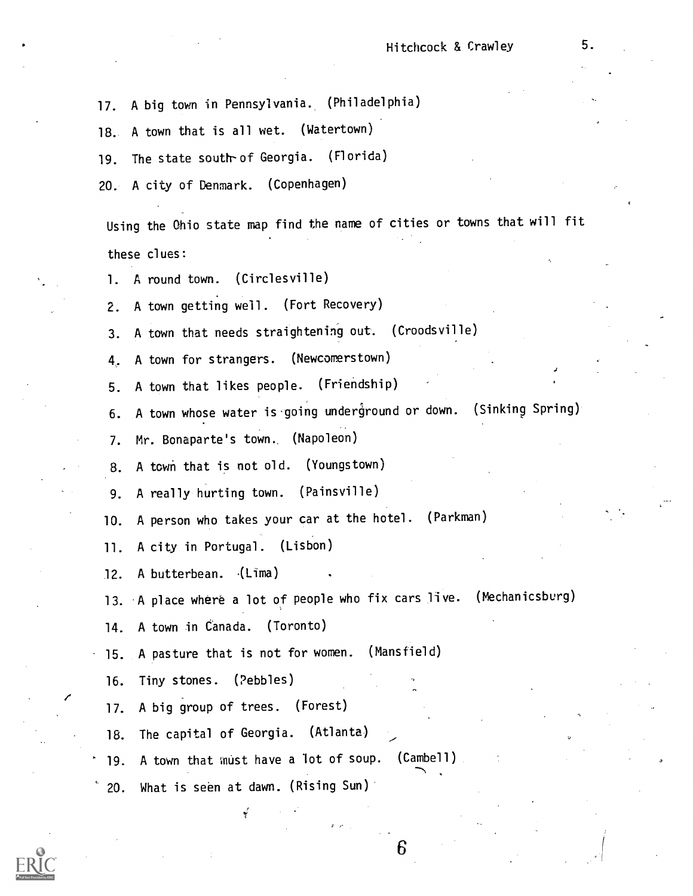17. A big town in Pennsylvania. (Philadelphia)

18.. A town that is all wet. (Watertown)

19. The state south-of Georgia. (Florida)

20. A city of Denmark. (Copenhagen)

Using the Ohio state map find the name of cities or towns that will fit these clues:

1. A round town. (Circlesville)

2. A town getting well. (Fort Recovery)

3. A town that needs straightening out. (Croodsville)

4, A town for strangers. (Newcomerstown)

5. A town that likes people. (Friendship)

6. A town whose water is going underground or down. (Sinking Spring)

7. Mr. Bonaparte's town.. (Napoleon)

8. A town that is not old. (Youngstown)

9. A really hurting town. (Painsville)

10. A person who takes your car at the hotel. (Parkman)

11. A city in Portugal. (Lisbon)

12. A butterbean. (Lima)

13. A place where a lot of people who fix cars live. (Mechanicsburg)

14. A town in Canada. (Toronto)

15. A pasture that is not for women. (Mansfield)

16. Tiny stones. (Pebbles)

17. A big group of trees. (Forest)

18. The capital of Georgia. (Atlanta)

19. A town that must have a lot of soup. (Cambell)

20. What is seen at dawn. (Rising Sun)

کہہ



6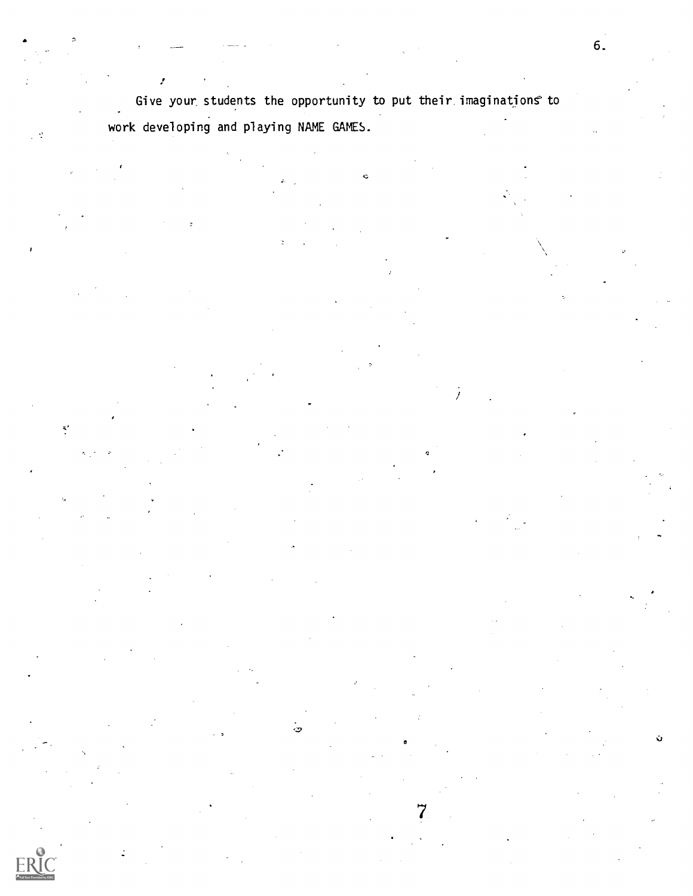Give your students the opportunity to put their imaginations to work developing and playing NAME GAMES.

 $\ddot{\circ}$ 

 $\sim 2$ 

 $\tilde{\zeta}'$ 

/

7

Ù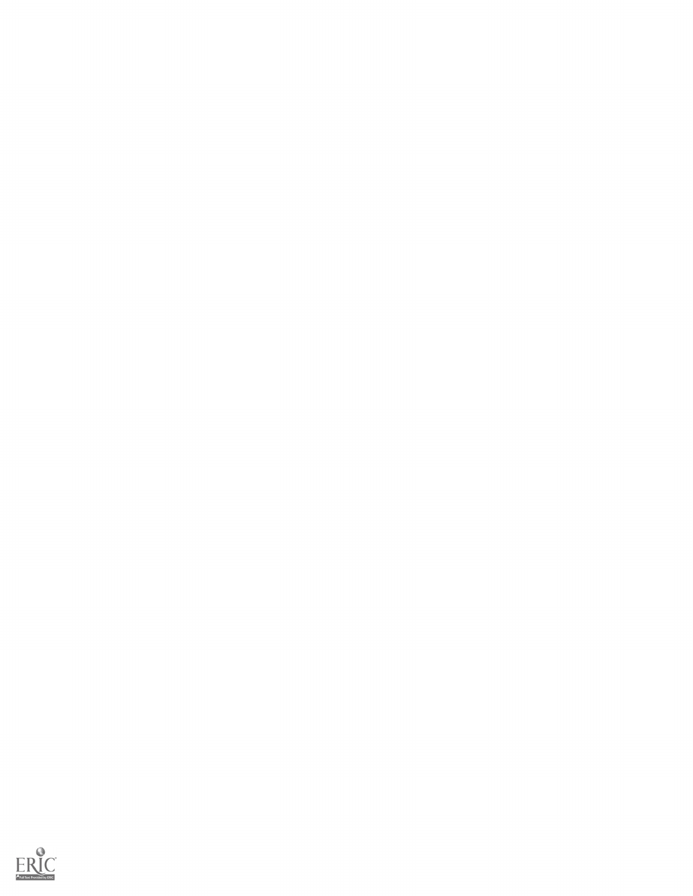